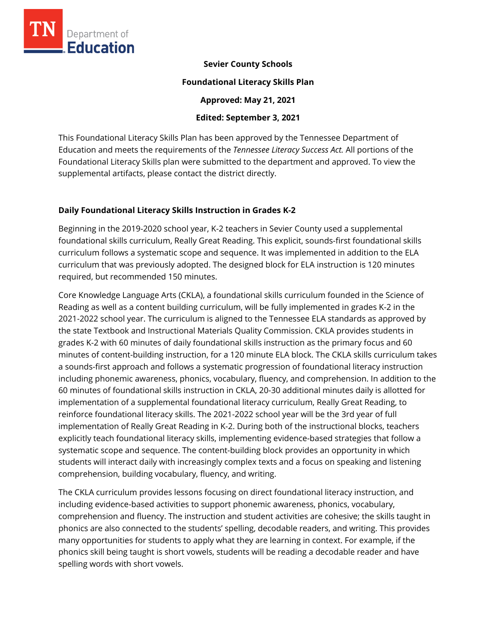

#### **Sevier County Schools**

#### **Foundational Literacy Skills Plan**

**Approved: May 21, 2021** 

#### **Edited: September 3, 2021**

This Foundational Literacy Skills Plan has been approved by the Tennessee Department of Education and meets the requirements of the *Tennessee Literacy Success Act.* All portions of the Foundational Literacy Skills plan were submitted to the department and approved. To view the supplemental artifacts, please contact the district directly.

### **Daily Foundational Literacy Skills Instruction in Grades K-2**

Beginning in the 2019-2020 school year, K-2 teachers in Sevier County used a supplemental foundational skills curriculum, Really Great Reading. This explicit, sounds-first foundational skills curriculum follows a systematic scope and sequence. It was implemented in addition to the ELA curriculum that was previously adopted. The designed block for ELA instruction is 120 minutes required, but recommended 150 minutes.

Core Knowledge Language Arts (CKLA), a foundational skills curriculum founded in the Science of Reading as well as a content building curriculum, will be fully implemented in grades K-2 in the 2021-2022 school year. The curriculum is aligned to the Tennessee ELA standards as approved by the state Textbook and Instructional Materials Quality Commission. CKLA provides students in grades K-2 with 60 minutes of daily foundational skills instruction as the primary focus and 60 minutes of content-building instruction, for a 120 minute ELA block. The CKLA skills curriculum takes a sounds-first approach and follows a systematic progression of foundational literacy instruction including phonemic awareness, phonics, vocabulary, fluency, and comprehension. In addition to the 60 minutes of foundational skills instruction in CKLA, 20-30 additional minutes daily is allotted for implementation of a supplemental foundational literacy curriculum, Really Great Reading, to reinforce foundational literacy skills. The 2021-2022 school year will be the 3rd year of full implementation of Really Great Reading in K-2. During both of the instructional blocks, teachers explicitly teach foundational literacy skills, implementing evidence-based strategies that follow a systematic scope and sequence. The content-building block provides an opportunity in which students will interact daily with increasingly complex texts and a focus on speaking and listening comprehension, building vocabulary, fluency, and writing.

The CKLA curriculum provides lessons focusing on direct foundational literacy instruction, and including evidence-based activities to support phonemic awareness, phonics, vocabulary, comprehension and fluency. The instruction and student activities are cohesive; the skills taught in phonics are also connected to the students' spelling, decodable readers, and writing. This provides many opportunities for students to apply what they are learning in context. For example, if the phonics skill being taught is short vowels, students will be reading a decodable reader and have spelling words with short vowels.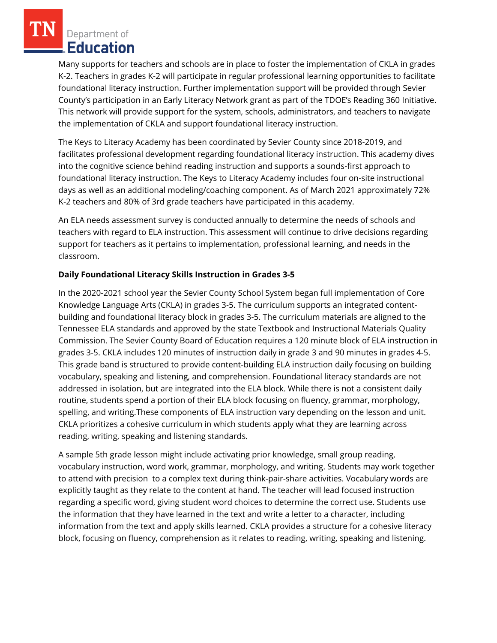Department of **Education** 

Many supports for teachers and schools are in place to foster the implementation of CKLA in grades K-2. Teachers in grades K-2 will participate in regular professional learning opportunities to facilitate foundational literacy instruction. Further implementation support will be provided through Sevier County's participation in an Early Literacy Network grant as part of the TDOE's Reading 360 Initiative. This network will provide support for the system, schools, administrators, and teachers to navigate the implementation of CKLA and support foundational literacy instruction.

The Keys to Literacy Academy has been coordinated by Sevier County since 2018-2019, and facilitates professional development regarding foundational literacy instruction. This academy dives into the cognitive science behind reading instruction and supports a sounds-first approach to foundational literacy instruction. The Keys to Literacy Academy includes four on-site instructional days as well as an additional modeling/coaching component. As of March 2021 approximately 72% K-2 teachers and 80% of 3rd grade teachers have participated in this academy.

An ELA needs assessment survey is conducted annually to determine the needs of schools and teachers with regard to ELA instruction. This assessment will continue to drive decisions regarding support for teachers as it pertains to implementation, professional learning, and needs in the classroom.

# **Daily Foundational Literacy Skills Instruction in Grades 3-5**

In the 2020-2021 school year the Sevier County School System began full implementation of Core Knowledge Language Arts (CKLA) in grades 3-5. The curriculum supports an integrated contentbuilding and foundational literacy block in grades 3-5. The curriculum materials are aligned to the Tennessee ELA standards and approved by the state Textbook and Instructional Materials Quality Commission. The Sevier County Board of Education requires a 120 minute block of ELA instruction in grades 3-5. CKLA includes 120 minutes of instruction daily in grade 3 and 90 minutes in grades 4-5. This grade band is structured to provide content-building ELA instruction daily focusing on building vocabulary, speaking and listening, and comprehension. Foundational literacy standards are not addressed in isolation, but are integrated into the ELA block. While there is not a consistent daily routine, students spend a portion of their ELA block focusing on fluency, grammar, morphology, spelling, and writing.These components of ELA instruction vary depending on the lesson and unit. CKLA prioritizes a cohesive curriculum in which students apply what they are learning across reading, writing, speaking and listening standards.

A sample 5th grade lesson might include activating prior knowledge, small group reading, vocabulary instruction, word work, grammar, morphology, and writing. Students may work together to attend with precision to a complex text during think-pair-share activities. Vocabulary words are explicitly taught as they relate to the content at hand. The teacher will lead focused instruction regarding a specific word, giving student word choices to determine the correct use. Students use the information that they have learned in the text and write a letter to a character, including information from the text and apply skills learned. CKLA provides a structure for a cohesive literacy block, focusing on fluency, comprehension as it relates to reading, writing, speaking and listening.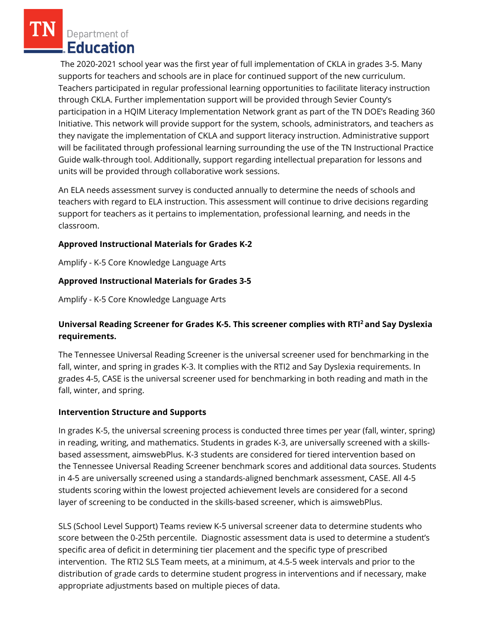Department of **Education** 

The 2020-2021 school year was the first year of full implementation of CKLA in grades 3-5. Many supports for teachers and schools are in place for continued support of the new curriculum. Teachers participated in regular professional learning opportunities to facilitate literacy instruction through CKLA. Further implementation support will be provided through Sevier County's participation in a HQIM Literacy Implementation Network grant as part of the TN DOE's Reading 360 Initiative. This network will provide support for the system, schools, administrators, and teachers as they navigate the implementation of CKLA and support literacy instruction. Administrative support will be facilitated through professional learning surrounding the use of the TN Instructional Practice Guide walk-through tool. Additionally, support regarding intellectual preparation for lessons and units will be provided through collaborative work sessions.

An ELA needs assessment survey is conducted annually to determine the needs of schools and teachers with regard to ELA instruction. This assessment will continue to drive decisions regarding support for teachers as it pertains to implementation, professional learning, and needs in the classroom.

### **Approved Instructional Materials for Grades K-2**

Amplify - K-5 Core Knowledge Language Arts

### **Approved Instructional Materials for Grades 3-5**

Amplify - K-5 Core Knowledge Language Arts

## **Universal Reading Screener for Grades K-5. This screener complies with RTI<sup>2</sup>and Say Dyslexia requirements.**

The Tennessee Universal Reading Screener is the universal screener used for benchmarking in the fall, winter, and spring in grades K-3. It complies with the RTI2 and Say Dyslexia requirements. In grades 4-5, CASE is the universal screener used for benchmarking in both reading and math in the fall, winter, and spring.

#### **Intervention Structure and Supports**

In grades K-5, the universal screening process is conducted three times per year (fall, winter, spring) in reading, writing, and mathematics. Students in grades K-3, are universally screened with a skillsbased assessment, aimswebPlus. K-3 students are considered for tiered intervention based on the Tennessee Universal Reading Screener benchmark scores and additional data sources. Students in 4-5 are universally screened using a standards-aligned benchmark assessment, CASE. All 4-5 students scoring within the lowest projected achievement levels are considered for a second layer of screening to be conducted in the skills-based screener, which is aimswebPlus.

SLS (School Level Support) Teams review K-5 universal screener data to determine students who score between the 0-25th percentile. Diagnostic assessment data is used to determine a student's specific area of deficit in determining tier placement and the specific type of prescribed intervention. The RTI2 SLS Team meets, at a minimum, at 4.5-5 week intervals and prior to the distribution of grade cards to determine student progress in interventions and if necessary, make appropriate adjustments based on multiple pieces of data.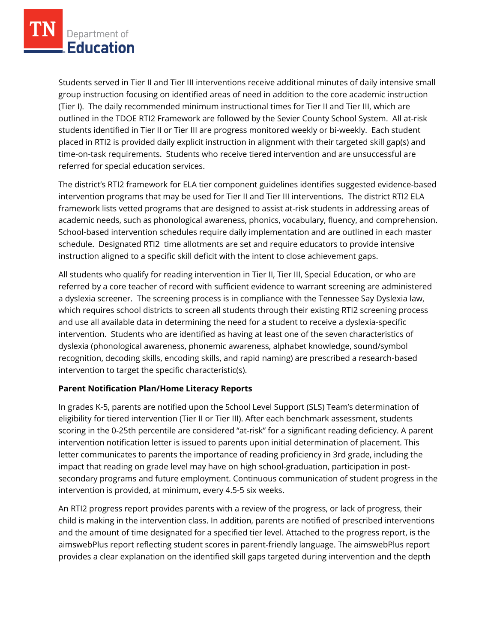Students served in Tier II and Tier III interventions receive additional minutes of daily intensive small group instruction focusing on identified areas of need in addition to the core academic instruction (Tier I). The daily recommended minimum instructional times for Tier II and Tier III, which are outlined in the TDOE RTI2 Framework are followed by the Sevier County School System. All at-risk students identified in Tier II or Tier III are progress monitored weekly or bi-weekly. Each student placed in RTI2 is provided daily explicit instruction in alignment with their targeted skill gap(s) and time-on-task requirements. Students who receive tiered intervention and are unsuccessful are referred for special education services.

The district's RTI2 framework for ELA tier component guidelines identifies suggested evidence-based intervention programs that may be used for Tier II and Tier III interventions. The district RTI2 ELA framework lists vetted programs that are designed to assist at-risk students in addressing areas of academic needs, such as phonological awareness, phonics, vocabulary, fluency, and comprehension. School-based intervention schedules require daily implementation and are outlined in each master schedule. Designated RTI2 time allotments are set and require educators to provide intensive instruction aligned to a specific skill deficit with the intent to close achievement gaps.

All students who qualify for reading intervention in Tier II, Tier III, Special Education, or who are referred by a core teacher of record with sufficient evidence to warrant screening are administered a dyslexia screener. The screening process is in compliance with the Tennessee Say Dyslexia law, which requires school districts to screen all students through their existing RTI2 screening process and use all available data in determining the need for a student to receive a dyslexia-specific intervention. Students who are identified as having at least one of the seven characteristics of dyslexia (phonological awareness, phonemic awareness, alphabet knowledge, sound/symbol recognition, decoding skills, encoding skills, and rapid naming) are prescribed a research-based intervention to target the specific characteristic(s).

# **Parent Notification Plan/Home Literacy Reports**

In grades K-5, parents are notified upon the School Level Support (SLS) Team's determination of eligibility for tiered intervention (Tier II or Tier III). After each benchmark assessment, students scoring in the 0-25th percentile are considered "at-risk" for a significant reading deficiency. A parent intervention notification letter is issued to parents upon initial determination of placement. This letter communicates to parents the importance of reading proficiency in 3rd grade, including the impact that reading on grade level may have on high school-graduation, participation in postsecondary programs and future employment. Continuous communication of student progress in the intervention is provided, at minimum, every 4.5-5 six weeks.

An RTI2 progress report provides parents with a review of the progress, or lack of progress, their child is making in the intervention class. In addition, parents are notified of prescribed interventions and the amount of time designated for a specified tier level. Attached to the progress report, is the aimswebPlus report reflecting student scores in parent-friendly language. The aimswebPlus report provides a clear explanation on the identified skill gaps targeted during intervention and the depth